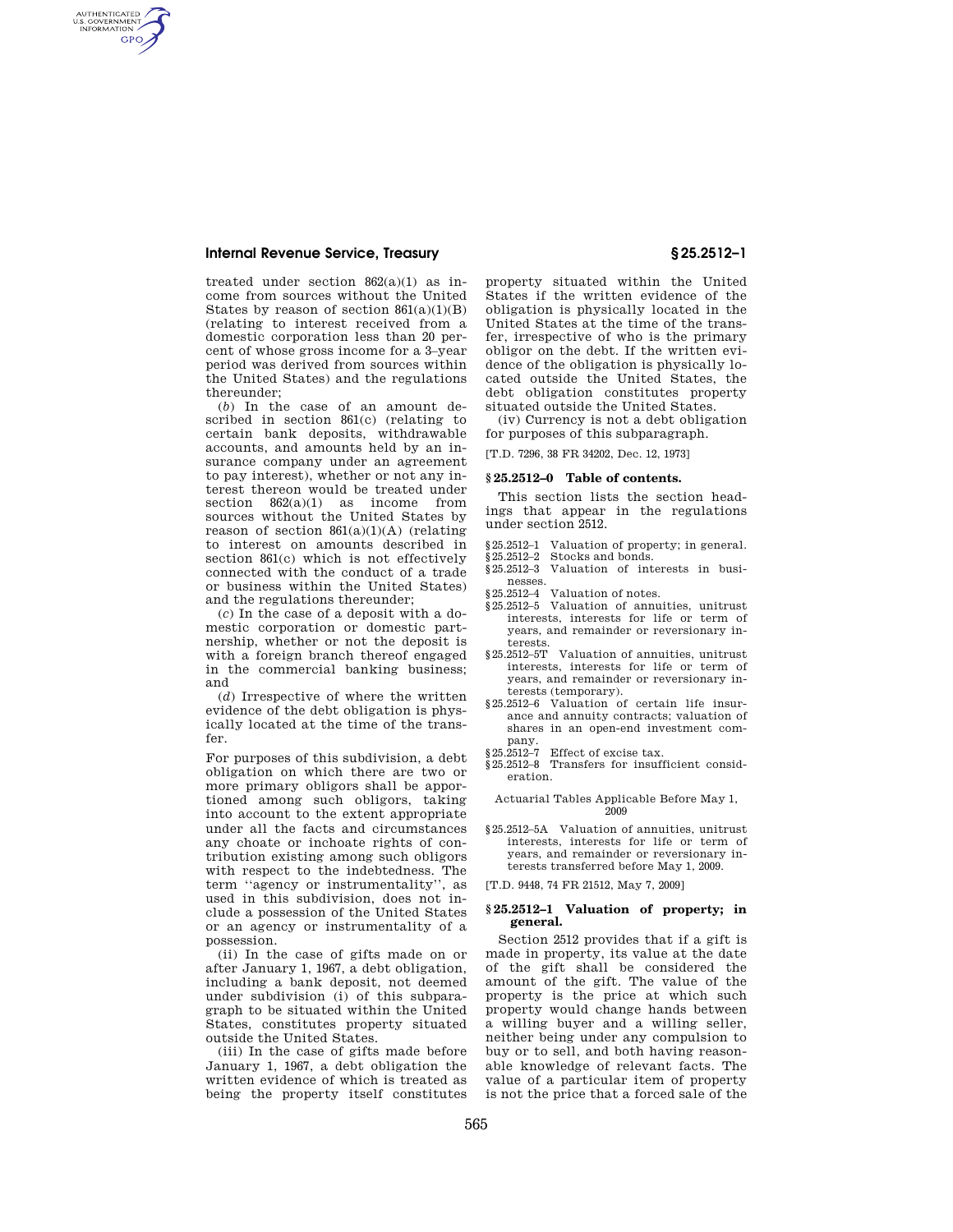# **Internal Revenue Service, Treasury § 25.2512–1**

AUTHENTICATED<br>U.S. GOVERNMENT<br>INFORMATION **GPO** 

> treated under section  $862(a)(1)$  as income from sources without the United States by reason of section  $861(a)(1)(B)$ (relating to interest received from a domestic corporation less than 20 percent of whose gross income for a 3–year period was derived from sources within the United States) and the regulations thereunder;

> (*b*) In the case of an amount described in section 861(c) (relating to certain bank deposits, withdrawable accounts, and amounts held by an insurance company under an agreement to pay interest), whether or not any interest thereon would be treated under section  $862(a)(1)$  as income from sources without the United States by reason of section  $861(a)(1)(A)$  (relating to interest on amounts described in section 861(c) which is not effectively connected with the conduct of a trade or business within the United States) and the regulations thereunder;

> (*c*) In the case of a deposit with a domestic corporation or domestic partnership, whether or not the deposit is with a foreign branch thereof engaged in the commercial banking business; and

> (*d*) Irrespective of where the written evidence of the debt obligation is physically located at the time of the transfer.

> For purposes of this subdivision, a debt obligation on which there are two or more primary obligors shall be apportioned among such obligors, taking into account to the extent appropriate under all the facts and circumstances any choate or inchoate rights of contribution existing among such obligors with respect to the indebtedness. The term ''agency or instrumentality'', as used in this subdivision, does not include a possession of the United States or an agency or instrumentality of a possession.

> (ii) In the case of gifts made on or after January 1, 1967, a debt obligation, including a bank deposit, not deemed under subdivision (i) of this subparagraph to be situated within the United States, constitutes property situated outside the United States.

> (iii) In the case of gifts made before January 1, 1967, a debt obligation the written evidence of which is treated as being the property itself constitutes

property situated within the United States if the written evidence of the obligation is physically located in the United States at the time of the transfer, irrespective of who is the primary obligor on the debt. If the written evidence of the obligation is physically located outside the United States, the debt obligation constitutes property situated outside the United States.

(iv) Currency is not a debt obligation for purposes of this subparagraph.

[T.D. 7296, 38 FR 34202, Dec. 12, 1973]

### **§ 25.2512–0 Table of contents.**

This section lists the section headings that appear in the regulations under section 2512.

- §25.2512–1 Valuation of property; in general.
- §25.2512-2 Stocks and bonds.
- §25.2512–3 Valuation of interests in businesses.
- §25.2512–4 Valuation of notes.
- §25.2512–5 Valuation of annuities, unitrust interests, interests for life or term of years, and remainder or reversionary interests.
- §25.2512–5T Valuation of annuities, unitrust interests, interests for life or term of years, and remainder or reversionary interests (temporary).
- §25.2512–6 Valuation of certain life insurance and annuity contracts; valuation of shares in an open-end investment company.
- §25.2512–7 Effect of excise tax.
- §25.2512–8 Transfers for insufficient consideration.

Actuarial Tables Applicable Before May 1, 2009

§25.2512–5A Valuation of annuities, unitrust interests, interests for life or term of years, and remainder or reversionary interests transferred before May 1, 2009.

[T.D. 9448, 74 FR 21512, May 7, 2009]

# **§ 25.2512–1 Valuation of property; in general.**

Section 2512 provides that if a gift is made in property, its value at the date of the gift shall be considered the amount of the gift. The value of the property is the price at which such property would change hands between a willing buyer and a willing seller, neither being under any compulsion to buy or to sell, and both having reasonable knowledge of relevant facts. The value of a particular item of property is not the price that a forced sale of the